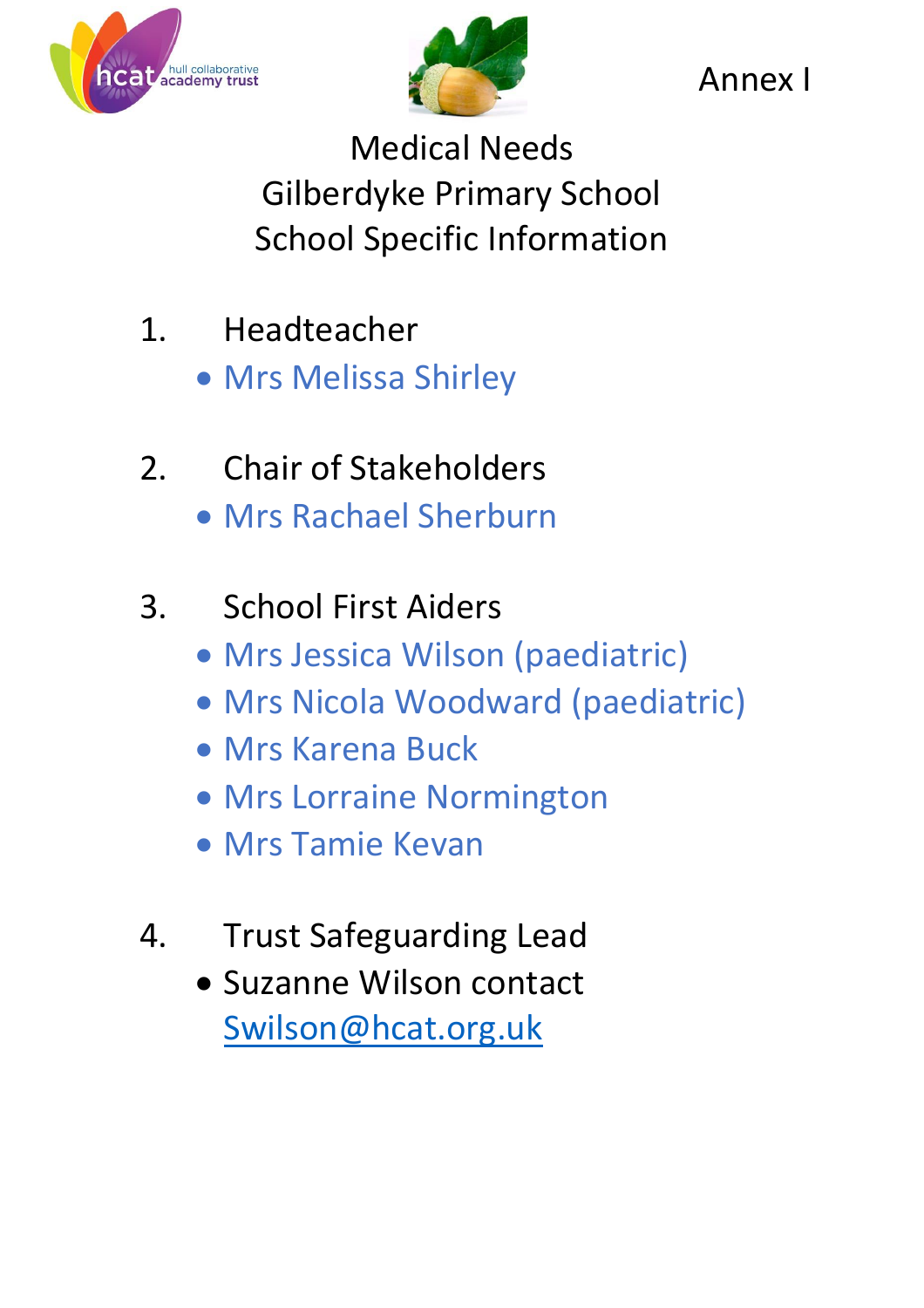



Annex I

Medical Needs Gilberdyke Primary School School Specific Information

- 1. Headteacher
	- Mrs Melissa Shirley
- 2. Chair of Stakeholders Mrs Rachael Sherburn

## 3. School First Aiders

- Mrs Jessica Wilson (paediatric)
- Mrs Nicola Woodward (paediatric)
- Mrs Karena Buck
- **Mrs Lorraine Normington**
- Mrs Tamie Kevan
- 4. Trust Safeguarding Lead
	- Suzanne Wilson contact [Swilson@hcat.org.uk](mailto:Swilson@hcat.org.uk)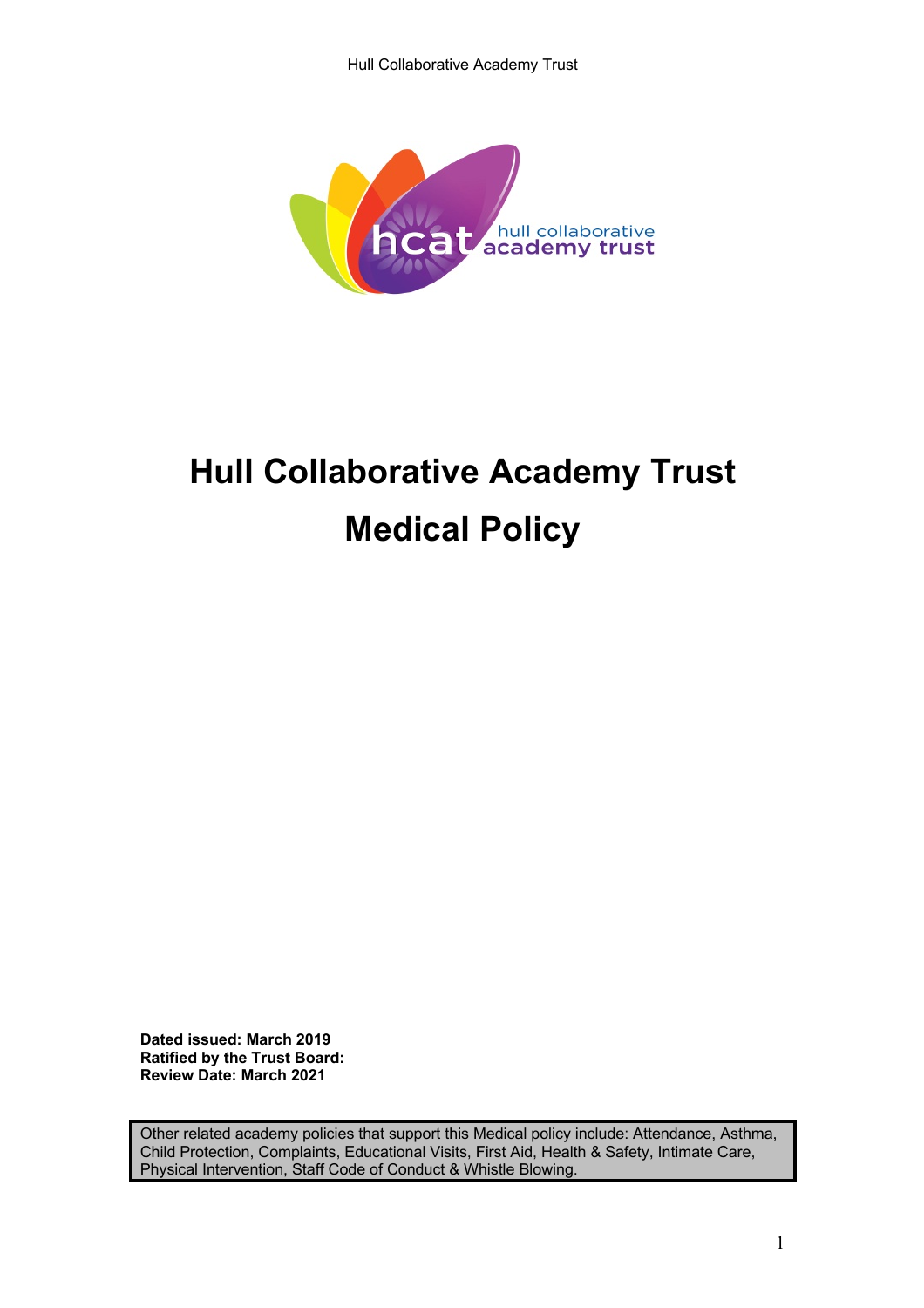

# **Hull Collaborative Academy Trust Medical Policy**

**Dated issued: March 2019 Ratified by the Trust Board: Review Date: March 2021**

Other related academy policies that support this Medical policy include: Attendance, Asthma, Child Protection, Complaints, Educational Visits, First Aid, Health & Safety, Intimate Care, Physical Intervention, Staff Code of Conduct & Whistle Blowing.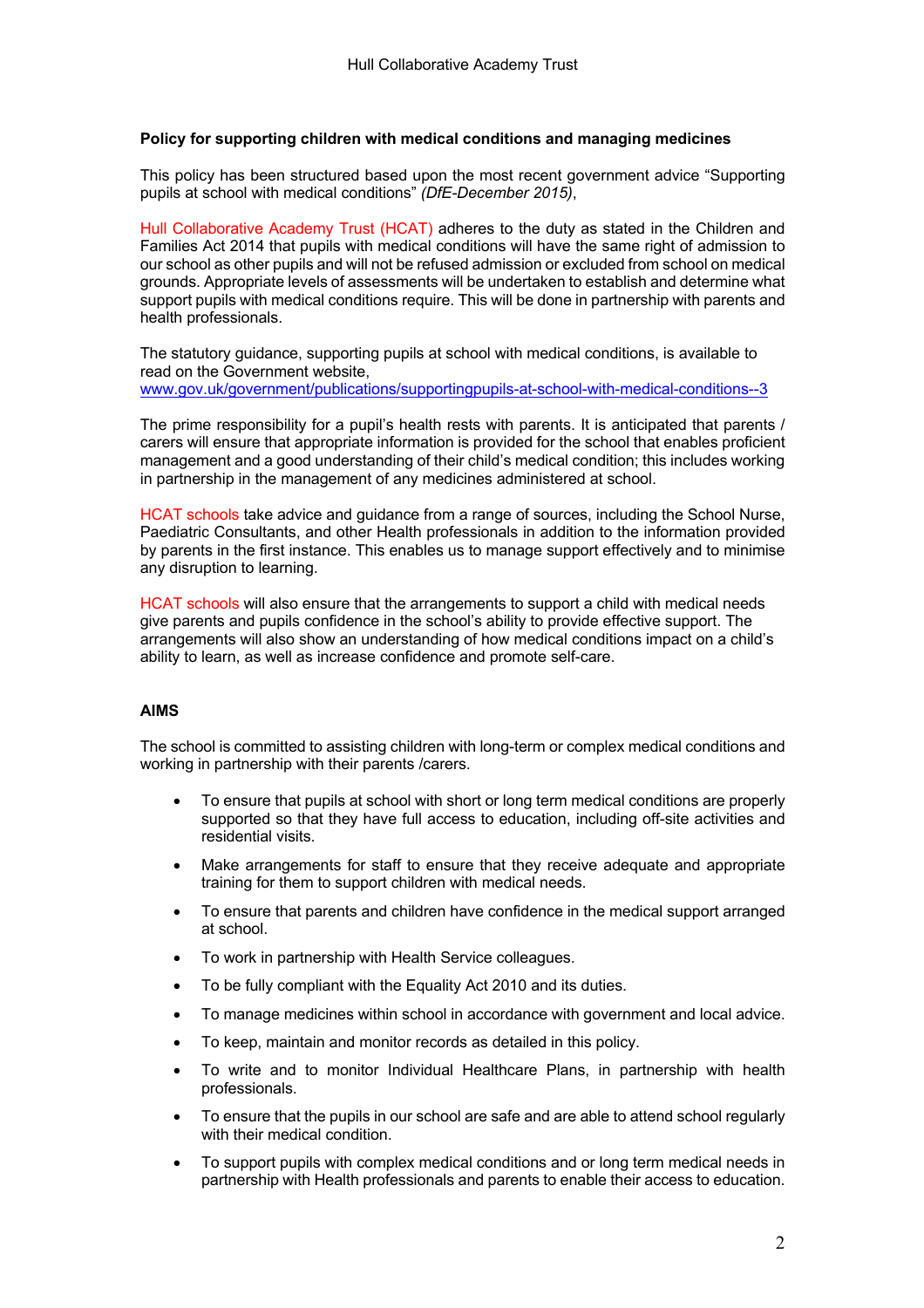#### **Policy for supporting children with medical conditions and managing medicines**

This policy has been structured based upon the most recent government advice "Supporting pupils at school with medical conditions" *(DfE-December 2015)*,

Hull Collaborative Academy Trust (HCAT) adheres to the duty as stated in the Children and Families Act 2014 that pupils with medical conditions will have the same right of admission to our school as other pupils and will not be refused admission or excluded from school on medical grounds. Appropriate levels of assessments will be undertaken to establish and determine what support pupils with medical conditions require. This will be done in partnership with parents and health professionals.

The statutory guidance, supporting pupils at school with medical conditions, is available to read on the Government website,

www.gov.uk/government/publications/supportingpupils-at-school-with-medical-conditions--3

The prime responsibility for a pupil's health rests with parents. It is anticipated that parents / carers will ensure that appropriate information is provided for the school that enables proficient management and a good understanding of their child's medical condition; this includes working in partnership in the management of any medicines administered at school.

HCAT schools take advice and guidance from a range of sources, including the School Nurse, Paediatric Consultants, and other Health professionals in addition to the information provided by parents in the first instance. This enables us to manage support effectively and to minimise any disruption to learning.

HCAT schools will also ensure that the arrangements to support a child with medical needs give parents and pupils confidence in the school's ability to provide effective support. The arrangements will also show an understanding of how medical conditions impact on a child's ability to learn, as well as increase confidence and promote self-care.

#### **AIMS**

The school is committed to assisting children with long-term or complex medical conditions and working in partnership with their parents /carers.

- To ensure that pupils at school with short or long term medical conditions are properly supported so that they have full access to education, including off-site activities and residential visits.
- Make arrangements for staff to ensure that they receive adequate and appropriate training for them to support children with medical needs.
- To ensure that parents and children have confidence in the medical support arranged at school.
- To work in partnership with Health Service colleagues.
- To be fully compliant with the Equality Act 2010 and its duties.
- To manage medicines within school in accordance with government and local advice.
- To keep, maintain and monitor records as detailed in this policy.
- To write and to monitor Individual Healthcare Plans, in partnership with health professionals.
- To ensure that the pupils in our school are safe and are able to attend school regularly with their medical condition.
- To support pupils with complex medical conditions and or long term medical needs in partnership with Health professionals and parents to enable their access to education.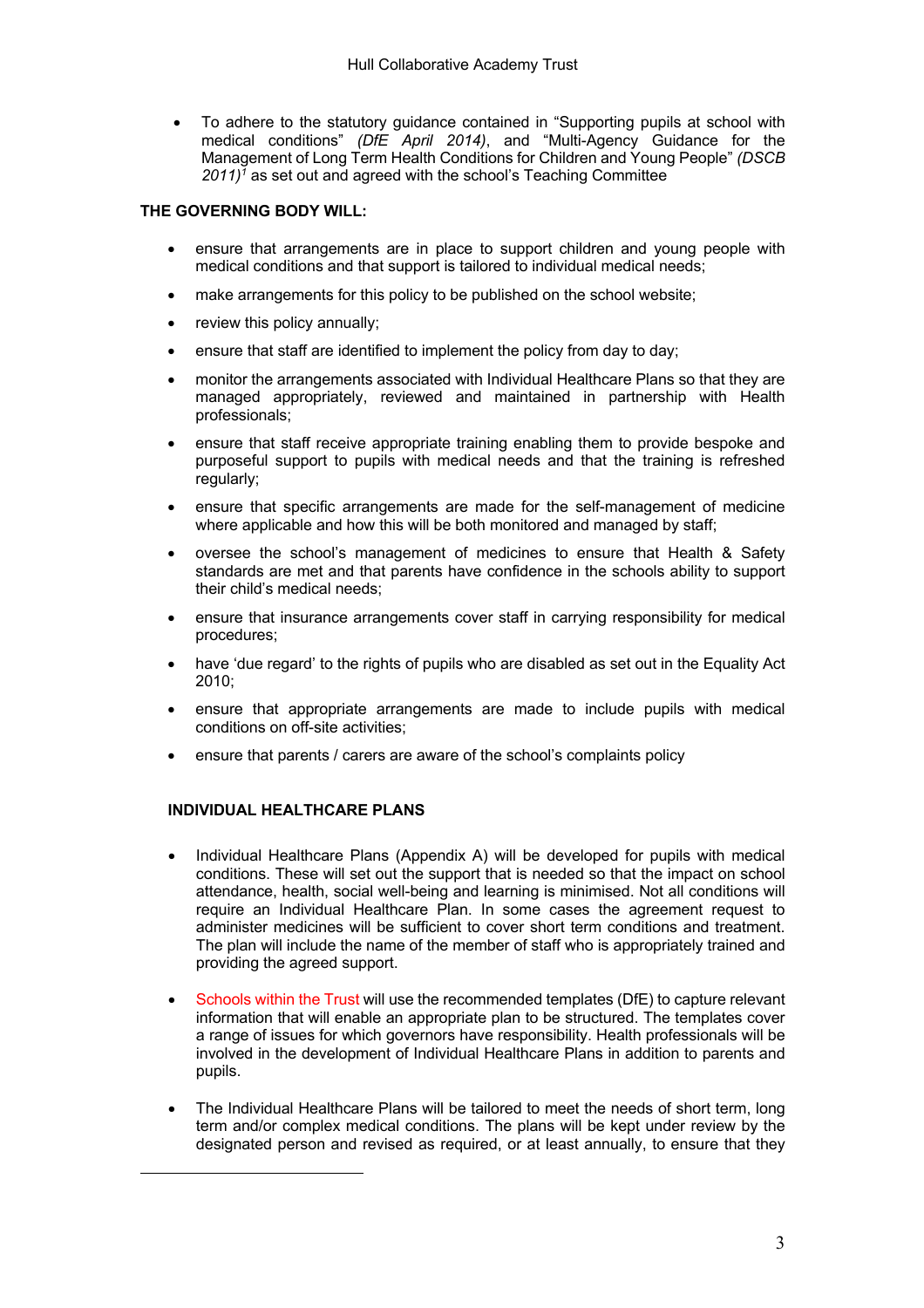• To adhere to the statutory guidance contained in "Supporting pupils at school with medical conditions" *(DfE April 2014)*, and "Multi-Agency Guidance for the Management of Long Term Health Conditions for Children and Young People" *(DSCB 2011)1* as set out and agreed with the school's Teaching Committee

#### **THE GOVERNING BODY WILL:**

- ensure that arrangements are in place to support children and young people with medical conditions and that support is tailored to individual medical needs;
- make arrangements for this policy to be published on the school website;
- review this policy annually;
- ensure that staff are identified to implement the policy from day to day;
- monitor the arrangements associated with Individual Healthcare Plans so that they are managed appropriately, reviewed and maintained in partnership with Health professionals;
- ensure that staff receive appropriate training enabling them to provide bespoke and purposeful support to pupils with medical needs and that the training is refreshed regularly;
- ensure that specific arrangements are made for the self-management of medicine where applicable and how this will be both monitored and managed by staff;
- oversee the school's management of medicines to ensure that Health & Safety standards are met and that parents have confidence in the schools ability to support their child's medical needs;
- ensure that insurance arrangements cover staff in carrying responsibility for medical procedures;
- have 'due regard' to the rights of pupils who are disabled as set out in the Equality Act 2010;
- ensure that appropriate arrangements are made to include pupils with medical conditions on off-site activities;
- ensure that parents / carers are aware of the school's complaints policy

#### **INDIVIDUAL HEALTHCARE PLANS**

 $\overline{a}$ 

- Individual Healthcare Plans (Appendix A) will be developed for pupils with medical conditions. These will set out the support that is needed so that the impact on school attendance, health, social well-being and learning is minimised. Not all conditions will require an Individual Healthcare Plan. In some cases the agreement request to administer medicines will be sufficient to cover short term conditions and treatment. The plan will include the name of the member of staff who is appropriately trained and providing the agreed support.
- Schools within the Trust will use the recommended templates (DfE) to capture relevant information that will enable an appropriate plan to be structured. The templates cover a range of issues for which governors have responsibility. Health professionals will be involved in the development of Individual Healthcare Plans in addition to parents and pupils.
- The Individual Healthcare Plans will be tailored to meet the needs of short term, long term and/or complex medical conditions. The plans will be kept under review by the designated person and revised as required, or at least annually, to ensure that they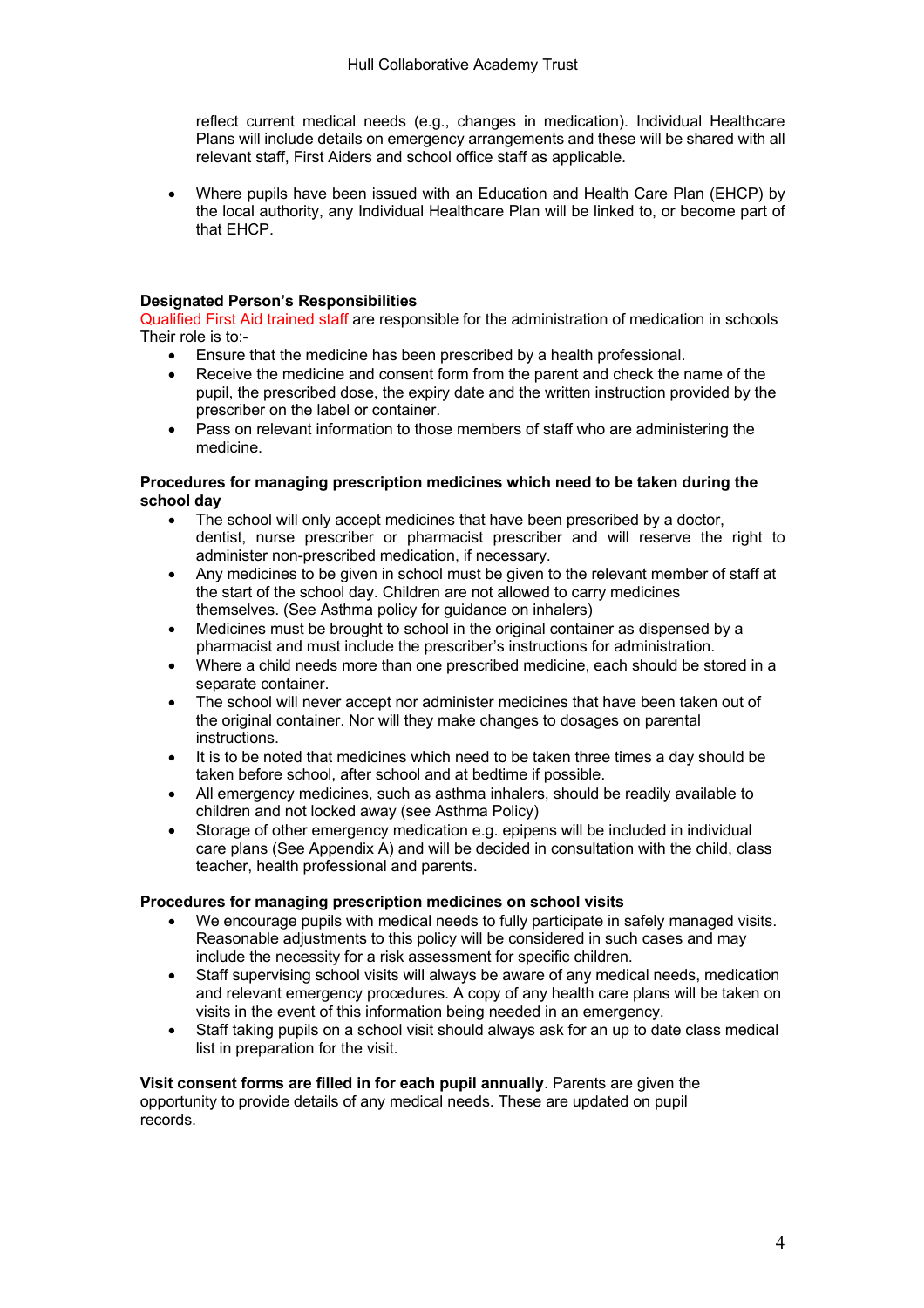reflect current medical needs (e.g., changes in medication). Individual Healthcare Plans will include details on emergency arrangements and these will be shared with all relevant staff, First Aiders and school office staff as applicable.

• Where pupils have been issued with an Education and Health Care Plan (EHCP) by the local authority, any Individual Healthcare Plan will be linked to, or become part of that EHCP.

#### **Designated Person's Responsibilities**

Qualified First Aid trained staff are responsible for the administration of medication in schools Their role is to:-

- Ensure that the medicine has been prescribed by a health professional.
- Receive the medicine and consent form from the parent and check the name of the pupil, the prescribed dose, the expiry date and the written instruction provided by the prescriber on the label or container.
- Pass on relevant information to those members of staff who are administering the medicine.

#### **Procedures for managing prescription medicines which need to be taken during the school day**

- The school will only accept medicines that have been prescribed by a doctor, dentist, nurse prescriber or pharmacist prescriber and will reserve the right to administer non-prescribed medication, if necessary.
- Any medicines to be given in school must be given to the relevant member of staff at the start of the school day. Children are not allowed to carry medicines themselves. (See Asthma policy for guidance on inhalers)
- Medicines must be brought to school in the original container as dispensed by a pharmacist and must include the prescriber's instructions for administration.
- Where a child needs more than one prescribed medicine, each should be stored in a separate container.
- The school will never accept nor administer medicines that have been taken out of the original container. Nor will they make changes to dosages on parental instructions.
- It is to be noted that medicines which need to be taken three times a day should be taken before school, after school and at bedtime if possible.
- All emergency medicines, such as asthma inhalers, should be readily available to children and not locked away (see Asthma Policy)
- Storage of other emergency medication e.g. epipens will be included in individual care plans (See Appendix A) and will be decided in consultation with the child, class teacher, health professional and parents.

#### **Procedures for managing prescription medicines on school visits**

- We encourage pupils with medical needs to fully participate in safely managed visits. Reasonable adjustments to this policy will be considered in such cases and may include the necessity for a risk assessment for specific children.
- Staff supervising school visits will always be aware of any medical needs, medication and relevant emergency procedures. A copy of any health care plans will be taken on visits in the event of this information being needed in an emergency.
- Staff taking pupils on a school visit should always ask for an up to date class medical list in preparation for the visit.

**Visit consent forms are filled in for each pupil annually**. Parents are given the opportunity to provide details of any medical needs. These are updated on pupil records.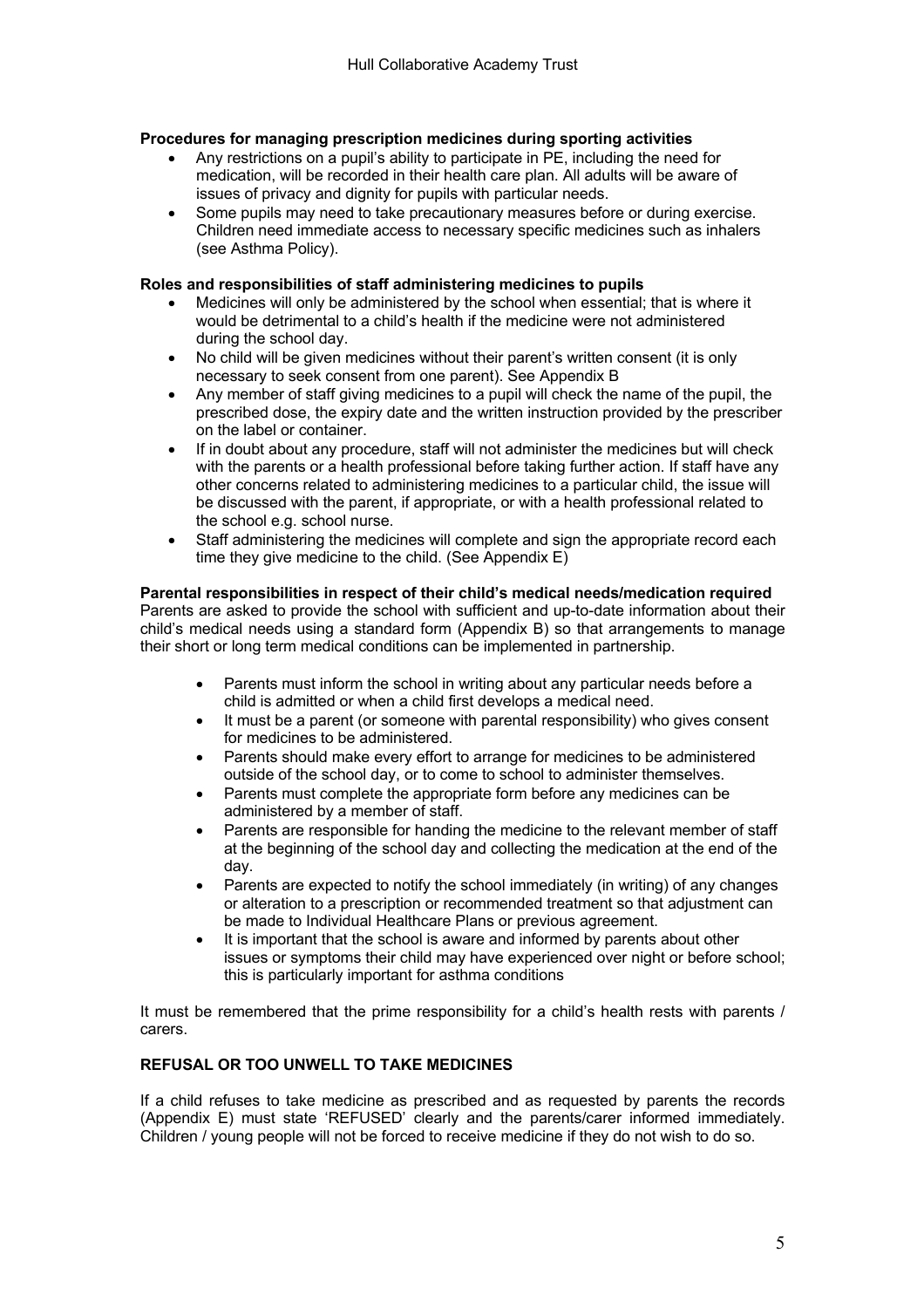#### **Procedures for managing prescription medicines during sporting activities**

- Any restrictions on a pupil's ability to participate in PE, including the need for medication, will be recorded in their health care plan. All adults will be aware of issues of privacy and dignity for pupils with particular needs.
- Some pupils may need to take precautionary measures before or during exercise. Children need immediate access to necessary specific medicines such as inhalers (see Asthma Policy).

#### **Roles and responsibilities of staff administering medicines to pupils**

- Medicines will only be administered by the school when essential; that is where it would be detrimental to a child's health if the medicine were not administered during the school day.
- No child will be given medicines without their parent's written consent (it is only necessary to seek consent from one parent). See Appendix B
- Any member of staff giving medicines to a pupil will check the name of the pupil, the prescribed dose, the expiry date and the written instruction provided by the prescriber on the label or container.
- If in doubt about any procedure, staff will not administer the medicines but will check with the parents or a health professional before taking further action. If staff have any other concerns related to administering medicines to a particular child, the issue will be discussed with the parent, if appropriate, or with a health professional related to the school e.g. school nurse.
- Staff administering the medicines will complete and sign the appropriate record each time they give medicine to the child. (See Appendix E)

#### **Parental responsibilities in respect of their child's medical needs/medication required**

Parents are asked to provide the school with sufficient and up-to-date information about their child's medical needs using a standard form (Appendix B) so that arrangements to manage their short or long term medical conditions can be implemented in partnership.

- Parents must inform the school in writing about any particular needs before a child is admitted or when a child first develops a medical need.
- It must be a parent (or someone with parental responsibility) who gives consent for medicines to be administered.
- Parents should make every effort to arrange for medicines to be administered outside of the school day, or to come to school to administer themselves.
- Parents must complete the appropriate form before any medicines can be administered by a member of staff.
- Parents are responsible for handing the medicine to the relevant member of staff at the beginning of the school day and collecting the medication at the end of the day.
- Parents are expected to notify the school immediately (in writing) of any changes or alteration to a prescription or recommended treatment so that adjustment can be made to Individual Healthcare Plans or previous agreement.
- It is important that the school is aware and informed by parents about other issues or symptoms their child may have experienced over night or before school; this is particularly important for asthma conditions

It must be remembered that the prime responsibility for a child's health rests with parents / carers.

#### **REFUSAL OR TOO UNWELL TO TAKE MEDICINES**

If a child refuses to take medicine as prescribed and as requested by parents the records (Appendix E) must state 'REFUSED' clearly and the parents/carer informed immediately. Children / young people will not be forced to receive medicine if they do not wish to do so.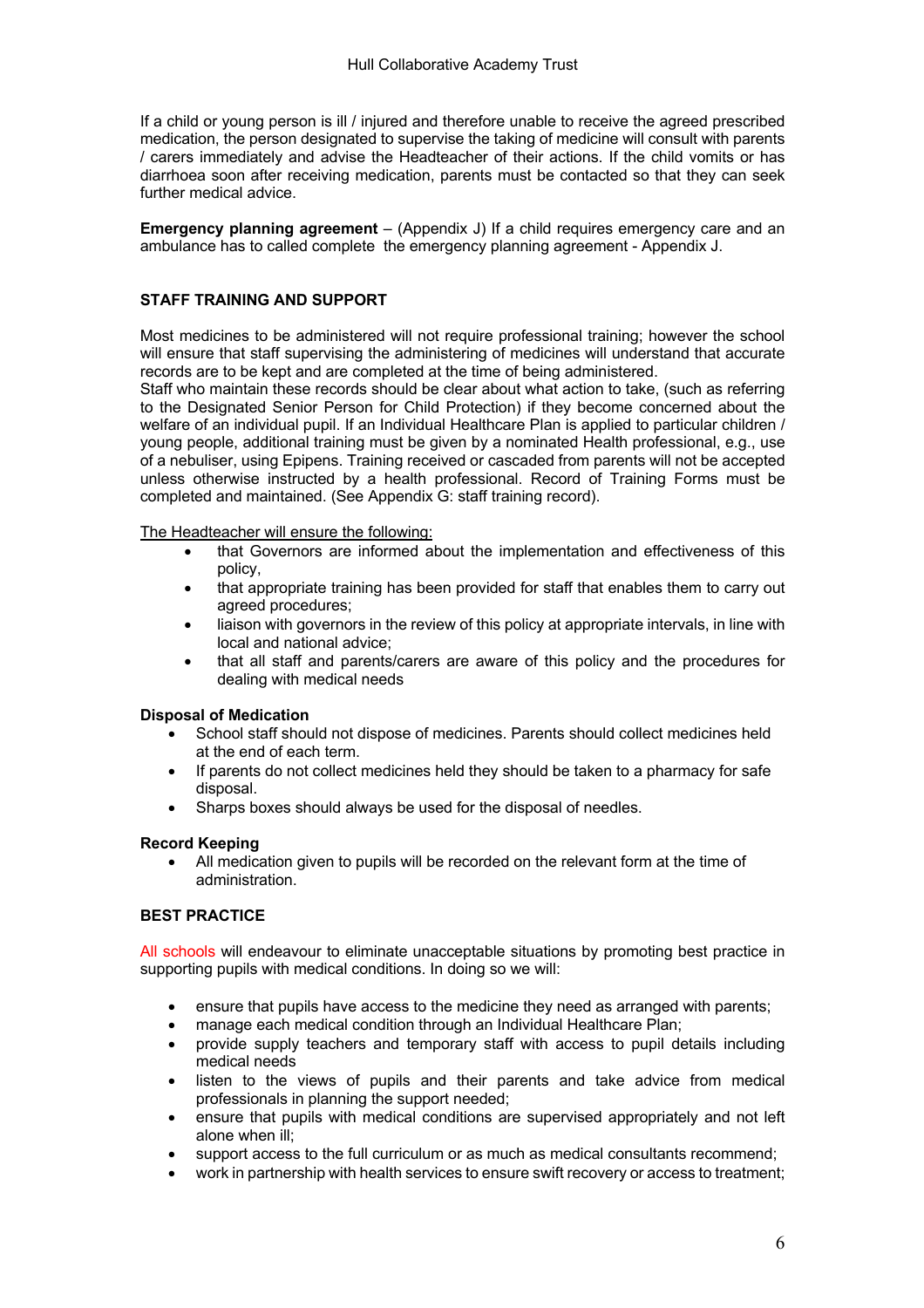If a child or young person is ill / injured and therefore unable to receive the agreed prescribed medication, the person designated to supervise the taking of medicine will consult with parents / carers immediately and advise the Headteacher of their actions. If the child vomits or has diarrhoea soon after receiving medication, parents must be contacted so that they can seek further medical advice.

**Emergency planning agreement** – (Appendix J) If a child requires emergency care and an ambulance has to called complete the emergency planning agreement - Appendix J.

#### **STAFF TRAINING AND SUPPORT**

Most medicines to be administered will not require professional training; however the school will ensure that staff supervising the administering of medicines will understand that accurate records are to be kept and are completed at the time of being administered.

Staff who maintain these records should be clear about what action to take, (such as referring to the Designated Senior Person for Child Protection) if they become concerned about the welfare of an individual pupil. If an Individual Healthcare Plan is applied to particular children / young people, additional training must be given by a nominated Health professional, e.g., use of a nebuliser, using Epipens. Training received or cascaded from parents will not be accepted unless otherwise instructed by a health professional. Record of Training Forms must be completed and maintained. (See Appendix G: staff training record).

The Headteacher will ensure the following:

- that Governors are informed about the implementation and effectiveness of this policy,
- that appropriate training has been provided for staff that enables them to carry out agreed procedures;
- liaison with governors in the review of this policy at appropriate intervals, in line with local and national advice;
- that all staff and parents/carers are aware of this policy and the procedures for dealing with medical needs

#### **Disposal of Medication**

- School staff should not dispose of medicines. Parents should collect medicines held at the end of each term.
- If parents do not collect medicines held they should be taken to a pharmacy for safe disposal.
- Sharps boxes should always be used for the disposal of needles.

#### **Record Keeping**

• All medication given to pupils will be recorded on the relevant form at the time of administration.

#### **BEST PRACTICE**

All schools will endeavour to eliminate unacceptable situations by promoting best practice in supporting pupils with medical conditions. In doing so we will:

- ensure that pupils have access to the medicine they need as arranged with parents;
- manage each medical condition through an Individual Healthcare Plan;
- provide supply teachers and temporary staff with access to pupil details including medical needs
- listen to the views of pupils and their parents and take advice from medical professionals in planning the support needed;
- ensure that pupils with medical conditions are supervised appropriately and not left alone when ill;
- support access to the full curriculum or as much as medical consultants recommend;
- work in partnership with health services to ensure swift recovery or access to treatment;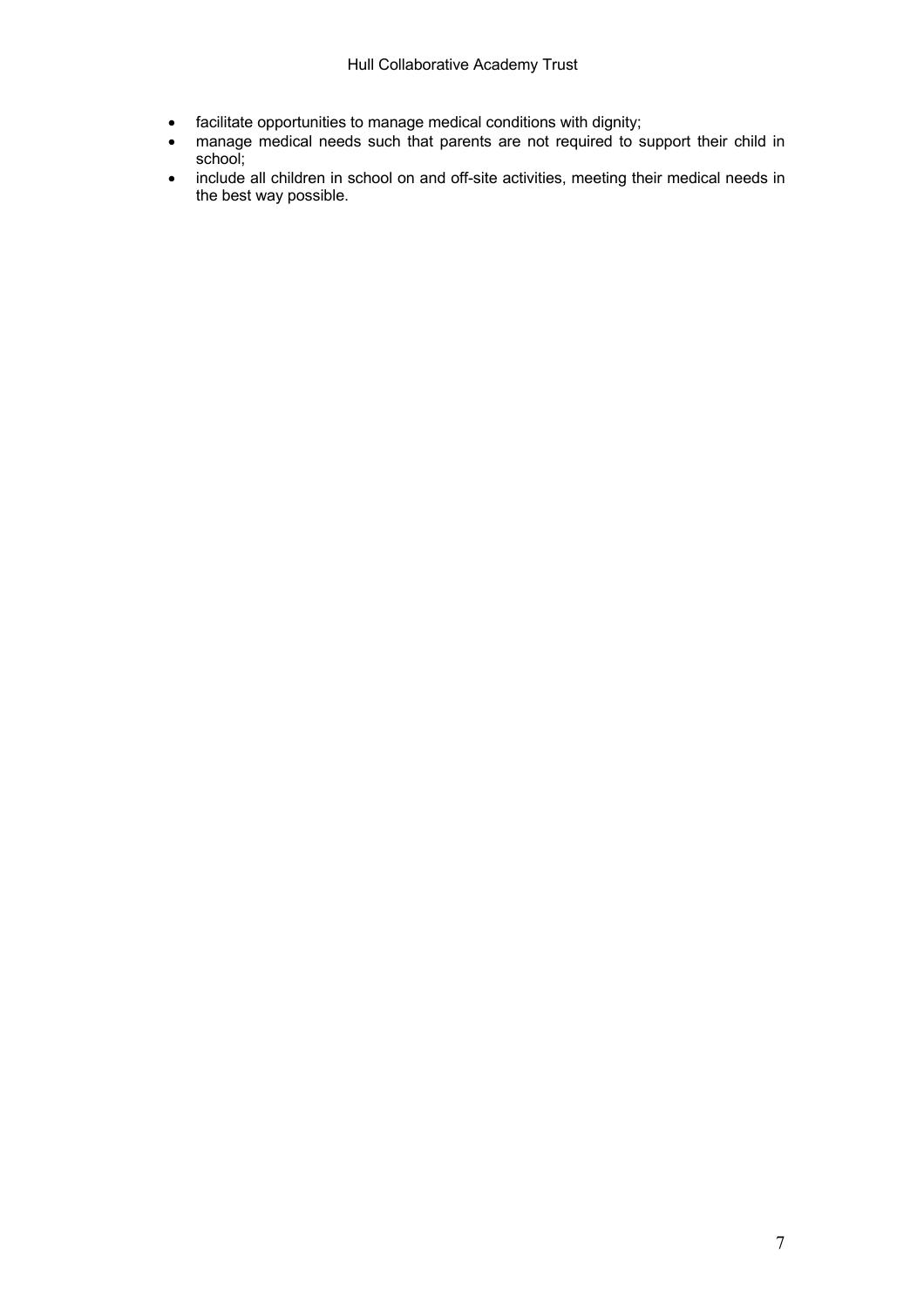- facilitate opportunities to manage medical conditions with dignity;
- manage medical needs such that parents are not required to support their child in school;
- include all children in school on and off-site activities, meeting their medical needs in the best way possible.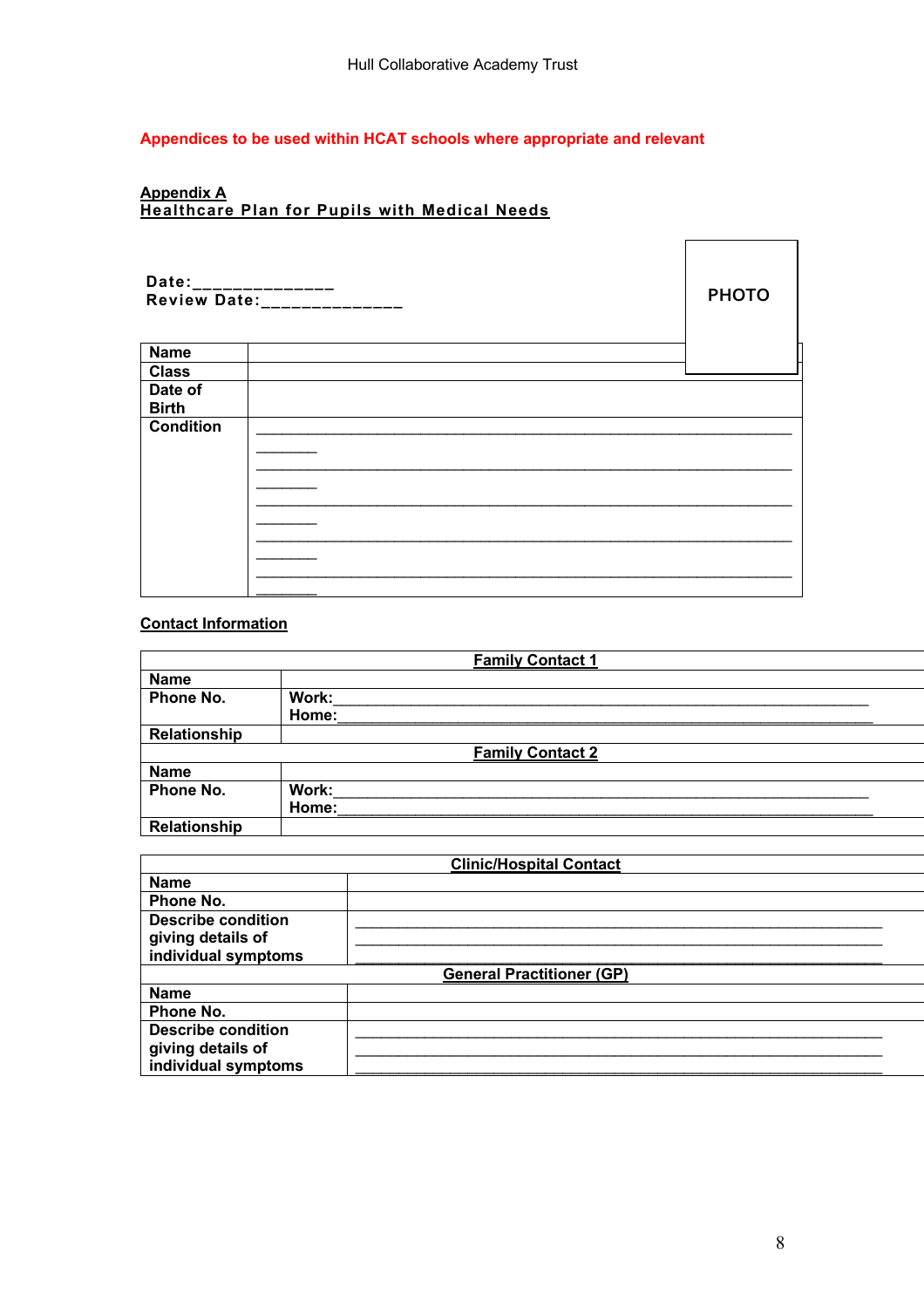#### **Appendices to be used within HCAT schools where appropriate and relevant**

#### **Appendix A Healthcare Plan for Pupils with Medical Needs**

| Date:______________<br>Review Date:______________ | <b>PHOTO</b> |  |
|---------------------------------------------------|--------------|--|
| <b>Name</b>                                       |              |  |
| <b>Class</b>                                      |              |  |
| Date of<br><b>Birth</b>                           |              |  |
| <b>Condition</b>                                  |              |  |

## **Contact Information**

|                     | <b>Family Contact 1</b> |
|---------------------|-------------------------|
| <b>Name</b>         |                         |
| Phone No.           | Work:                   |
|                     | Home:                   |
| Relationship        |                         |
|                     | <b>Family Contact 2</b> |
| <b>Name</b>         |                         |
| Phone No.           | Work:                   |
|                     | Home:                   |
| <b>Relationship</b> |                         |
|                     |                         |

| <b>Clinic/Hospital Contact</b> |                                  |  |  |
|--------------------------------|----------------------------------|--|--|
| <b>Name</b>                    |                                  |  |  |
| Phone No.                      |                                  |  |  |
| <b>Describe condition</b>      |                                  |  |  |
| giving details of              |                                  |  |  |
| individual symptoms            |                                  |  |  |
|                                | <b>General Practitioner (GP)</b> |  |  |
| <b>Name</b>                    |                                  |  |  |
| Phone No.                      |                                  |  |  |
| <b>Describe condition</b>      |                                  |  |  |
| giving details of              |                                  |  |  |
| individual symptoms            |                                  |  |  |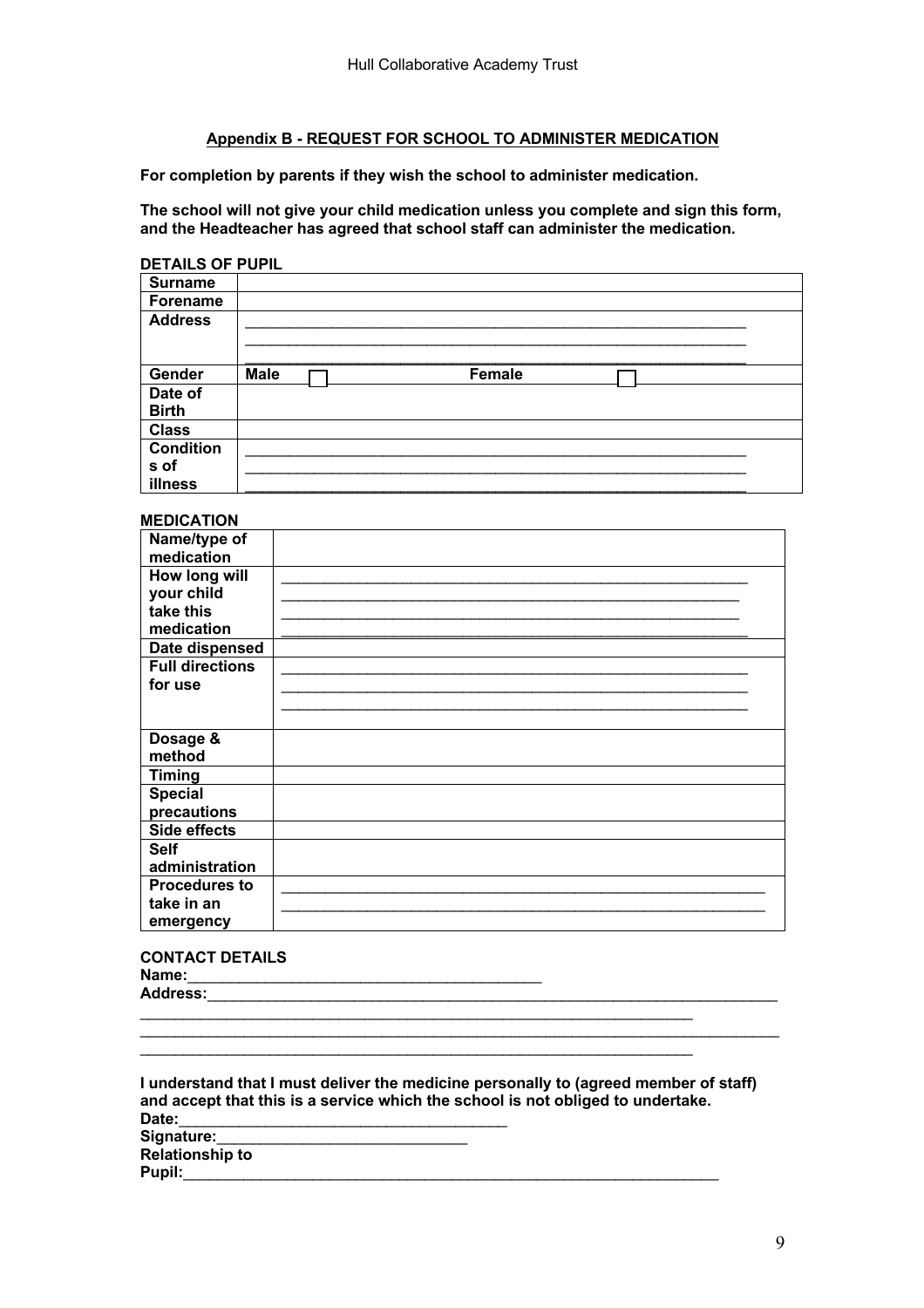#### **Appendix B - REQUEST FOR SCHOOL TO ADMINISTER MEDICATION**

**For completion by parents if they wish the school to administer medication.**

**The school will not give your child medication unless you complete and sign this form, and the Headteacher has agreed that school staff can administer the medication.**

#### **DETAILS OF PUPIL**

| <b>Surname</b>   |                       |
|------------------|-----------------------|
| Forename         |                       |
| <b>Address</b>   |                       |
|                  |                       |
|                  |                       |
| Gender           | <b>Male</b><br>Female |
| Date of          |                       |
| <b>Birth</b>     |                       |
| <b>Class</b>     |                       |
| <b>Condition</b> |                       |
| s of             |                       |
| illness          |                       |

#### **MEDICATION**

| Name/type of<br>medication |  |
|----------------------------|--|
| How long will              |  |
| your child                 |  |
| take this                  |  |
| medication                 |  |
| Date dispensed             |  |
| <b>Full directions</b>     |  |
| for use                    |  |
|                            |  |
|                            |  |
| Dosage &                   |  |
| method                     |  |
| <b>Timing</b>              |  |
| <b>Special</b>             |  |
| precautions                |  |
| <b>Side effects</b>        |  |
| <b>Self</b>                |  |
| administration             |  |
| <b>Procedures to</b>       |  |
| take in an                 |  |
| emergency                  |  |

**CONTACT DETAILS** Name: **Address:**\_\_\_\_\_\_\_\_\_\_\_\_\_\_\_\_\_\_\_\_\_\_\_\_\_\_\_\_\_\_\_\_\_\_\_\_\_\_\_\_\_\_\_\_\_\_\_\_\_\_\_\_\_\_\_\_\_\_\_\_\_\_\_\_\_\_

**I understand that I must deliver the medicine personally to (agreed member of staff) and accept that this is a service which the school is not obliged to undertake.** Date: Signature: **Relationship to Pupil:**\_\_\_\_\_\_\_\_\_\_\_\_\_\_\_\_\_\_\_\_\_\_\_\_\_\_\_\_\_\_\_\_\_\_\_\_\_\_\_\_\_\_\_\_\_\_\_\_\_\_\_\_\_\_\_\_\_\_\_\_\_\_

 $\mathcal{L}_\mathcal{L} = \{ \mathcal{L}_\mathcal{L} = \{ \mathcal{L}_\mathcal{L} = \{ \mathcal{L}_\mathcal{L} = \{ \mathcal{L}_\mathcal{L} = \{ \mathcal{L}_\mathcal{L} = \{ \mathcal{L}_\mathcal{L} = \{ \mathcal{L}_\mathcal{L} = \{ \mathcal{L}_\mathcal{L} = \{ \mathcal{L}_\mathcal{L} = \{ \mathcal{L}_\mathcal{L} = \{ \mathcal{L}_\mathcal{L} = \{ \mathcal{L}_\mathcal{L} = \{ \mathcal{L}_\mathcal{L} = \{ \mathcal{L}_\mathcal{$ 

\_\_\_\_\_\_\_\_\_\_\_\_\_\_\_\_\_\_\_\_\_\_\_\_\_\_\_\_\_\_\_\_\_\_\_\_\_\_\_\_\_\_\_\_\_\_\_\_\_\_\_\_\_\_\_\_\_\_\_\_\_\_\_\_

\_\_\_\_\_\_\_\_\_\_\_\_\_\_\_\_\_\_\_\_\_\_\_\_\_\_\_\_\_\_\_\_\_\_\_\_\_\_\_\_\_\_\_\_\_\_\_\_\_\_\_\_\_\_\_\_\_\_\_\_\_\_\_\_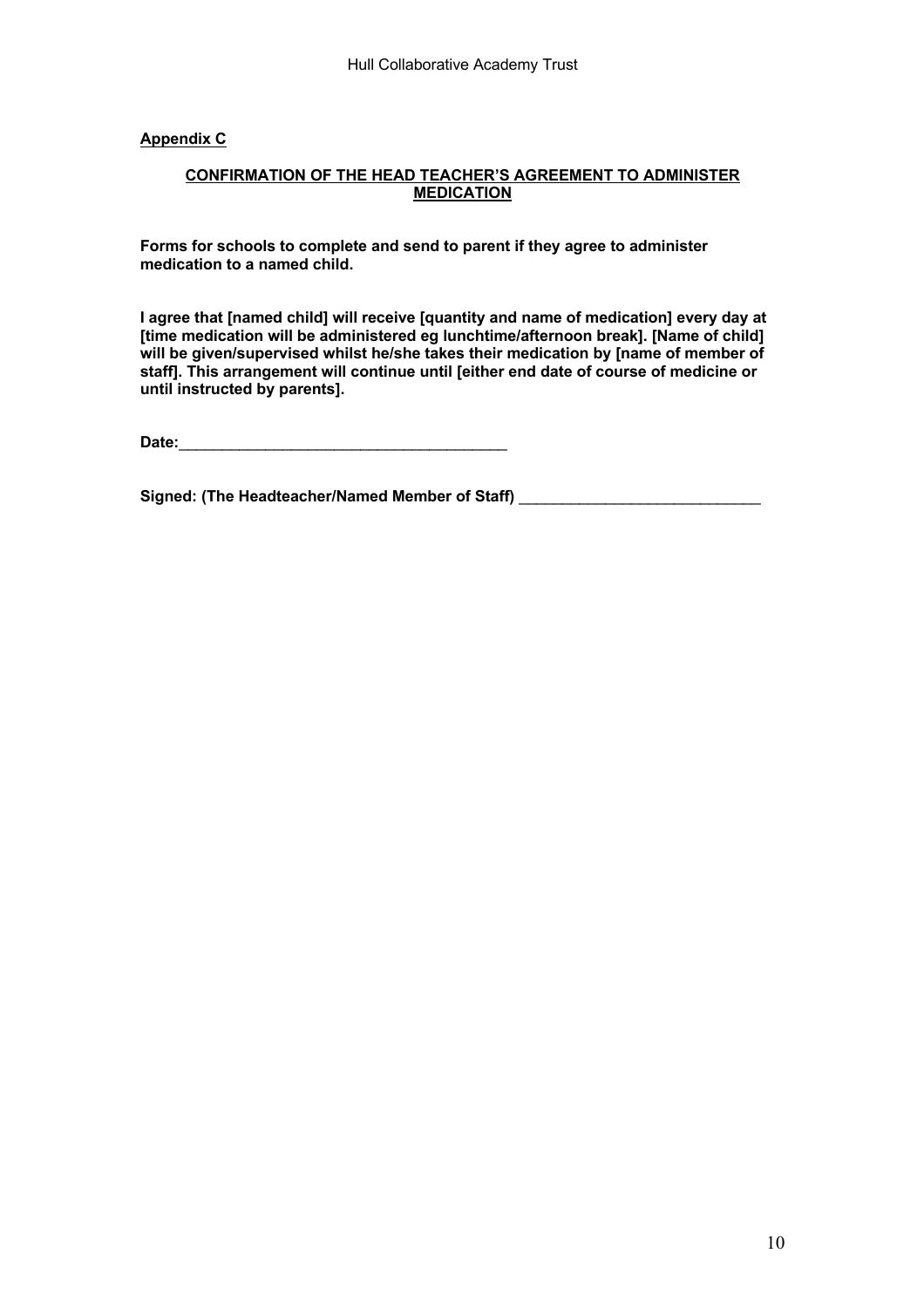#### **Appendix C**

#### **CONFIRMATION OF THE HEAD TEACHER'S AGREEMENT TO ADMINISTER MEDICATION**

**Forms for schools to complete and send to parent if they agree to administer medication to a named child.**

**I agree that [named child] will receive [quantity and name of medication] every day at [time medication will be administered eg lunchtime/afternoon break]. [Name of child] will be given/supervised whilst he/she takes their medication by [name of member of staff]. This arrangement will continue until [either end date of course of medicine or until instructed by parents].**

Date:

Signed: (The Headteacher/Named Member of Staff) **William Constant Construct Constant Constant Constant Constant**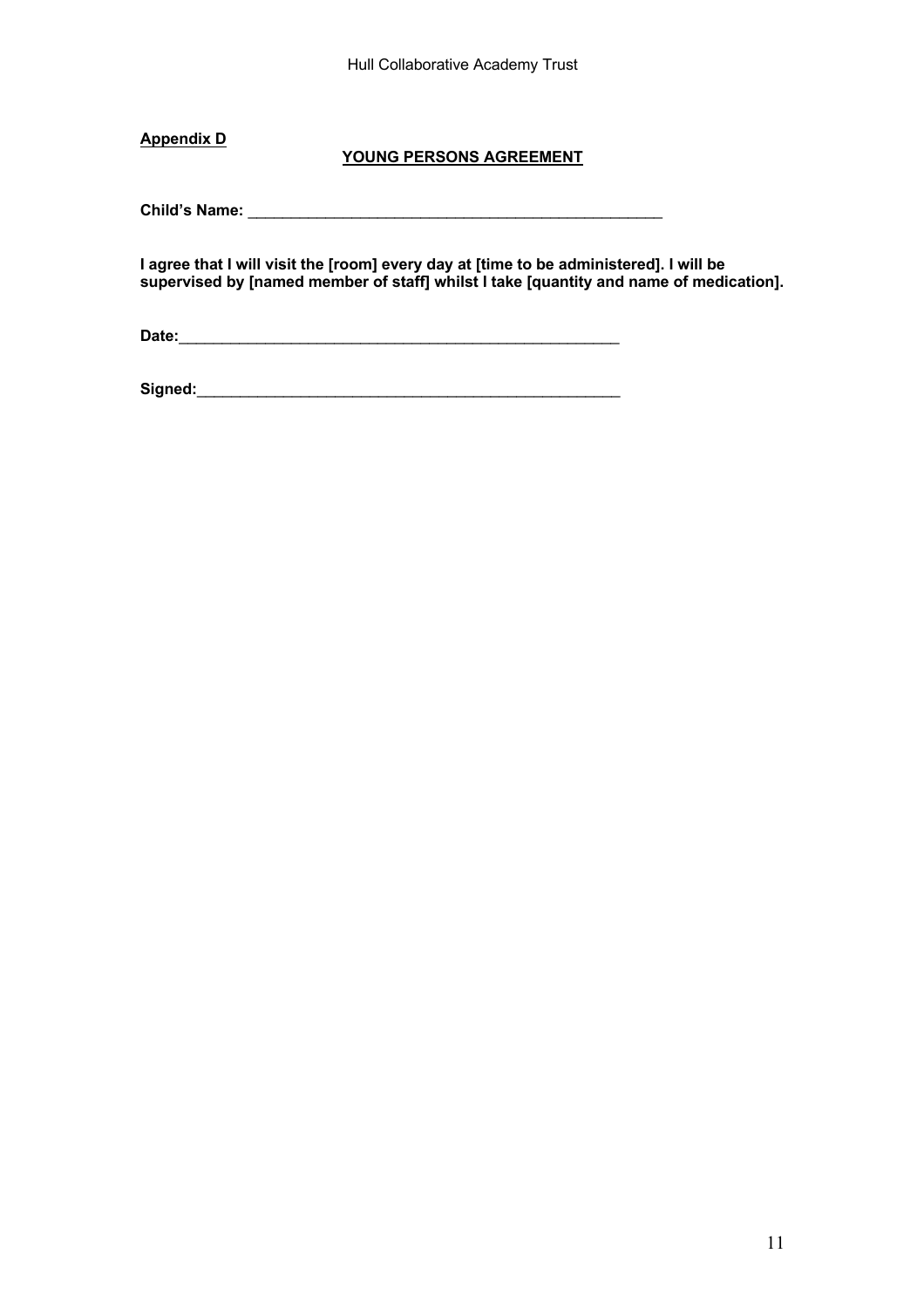Hull Collaborative Academy Trust

**Appendix D**

### **YOUNG PERSONS AGREEMENT**

**Child's Name:** \_\_\_\_\_\_\_\_\_\_\_\_\_\_\_\_\_\_\_\_\_\_\_\_\_\_\_\_\_\_\_\_\_\_\_\_\_\_\_\_\_\_\_\_\_\_\_\_

**I agree that I will visit the [room] every day at [time to be administered]. I will be supervised by [named member of staff] whilst I take [quantity and name of medication].**

**Date:**\_\_\_\_\_\_\_\_\_\_\_\_\_\_\_\_\_\_\_\_\_\_\_\_\_\_\_\_\_\_\_\_\_\_\_\_\_\_\_\_\_\_\_\_\_\_\_\_\_\_\_

**Signed:**\_\_\_\_\_\_\_\_\_\_\_\_\_\_\_\_\_\_\_\_\_\_\_\_\_\_\_\_\_\_\_\_\_\_\_\_\_\_\_\_\_\_\_\_\_\_\_\_\_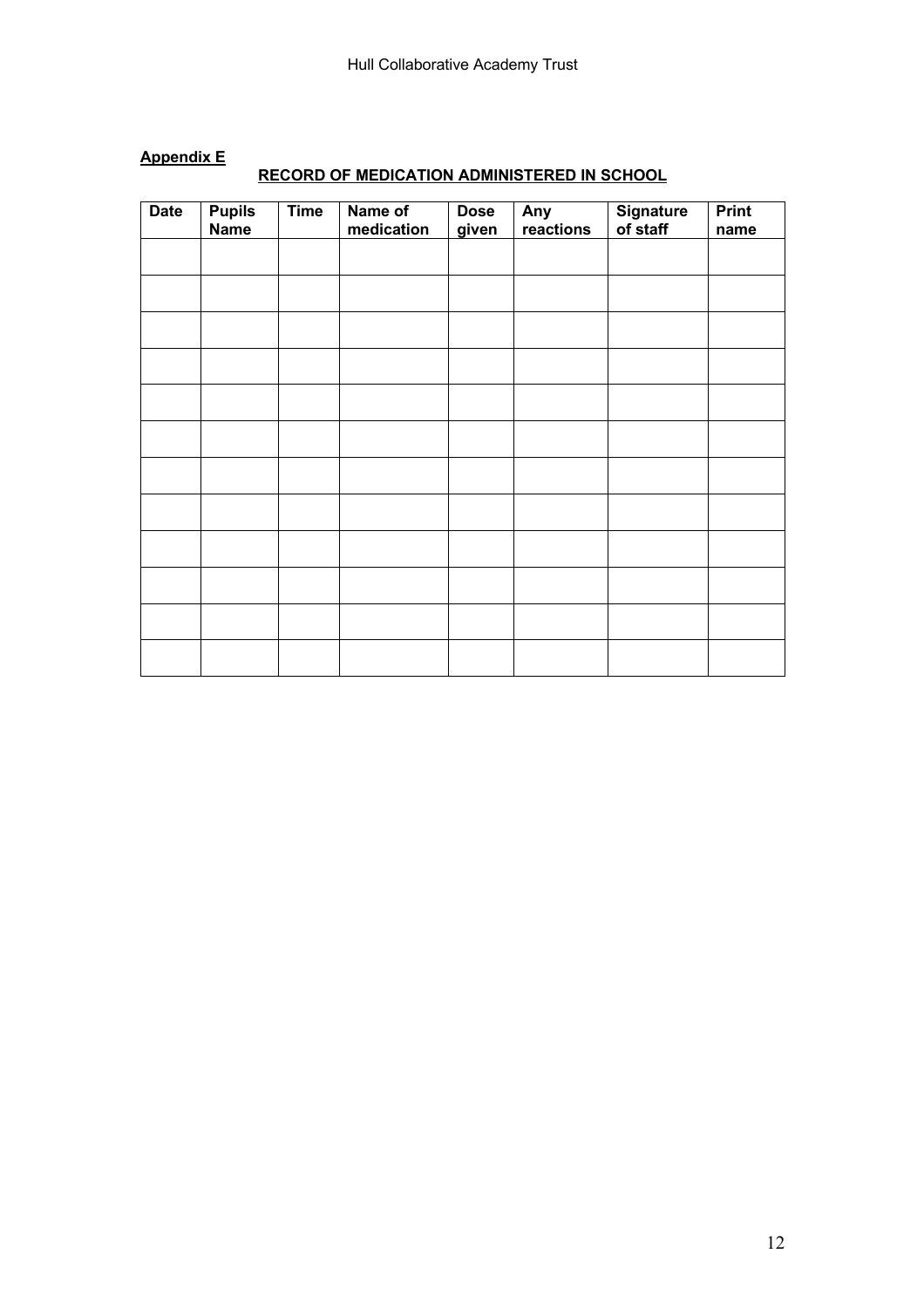| <b>Date</b> | <b>Pupils</b><br><b>Name</b> | <b>Time</b> | Name of<br>medication | <b>Dose</b><br>given | Any<br>reactions | Signature<br>of staff | <b>Print</b><br>name |
|-------------|------------------------------|-------------|-----------------------|----------------------|------------------|-----------------------|----------------------|
|             |                              |             |                       |                      |                  |                       |                      |
|             |                              |             |                       |                      |                  |                       |                      |
|             |                              |             |                       |                      |                  |                       |                      |
|             |                              |             |                       |                      |                  |                       |                      |
|             |                              |             |                       |                      |                  |                       |                      |
|             |                              |             |                       |                      |                  |                       |                      |
|             |                              |             |                       |                      |                  |                       |                      |
|             |                              |             |                       |                      |                  |                       |                      |
|             |                              |             |                       |                      |                  |                       |                      |
|             |                              |             |                       |                      |                  |                       |                      |
|             |                              |             |                       |                      |                  |                       |                      |
|             |                              |             |                       |                      |                  |                       |                      |

## **Appendix E**

## **RECORD OF MEDICATION ADMINISTERED IN SCHOOL**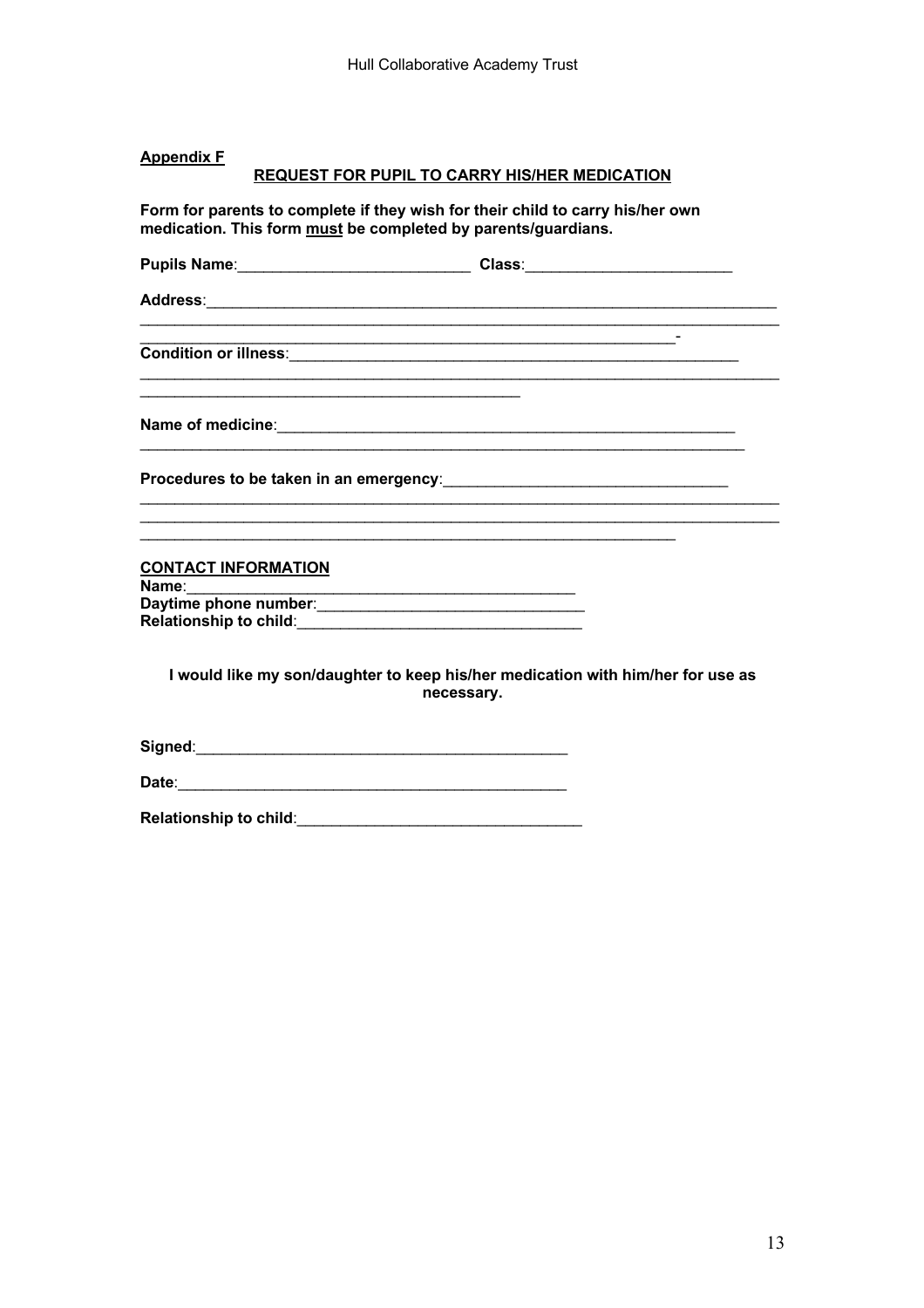#### **Appendix F**

#### REQUEST FOR PUPIL TO CARRY HIS/HER MEDICATION

Form for parents to complete if they wish for their child to carry his/her own medication. This form must be completed by parents/guardians.

Pupils Name: Class: Class: Address: Address: Address: Address: Address: Address: Address: Address: Address: Address: Address: A the control of the control of the control of the Condition or illness: **CONTACT INFORMATION** Name: Daytime phone number: Relationship to child: The Contract of the Relationship to child: I would like my son/daughter to keep his/her medication with him/her for use as necessary.

Relationship to child: Market Market Market Market Market Market Market Market Market Market Market Market Mar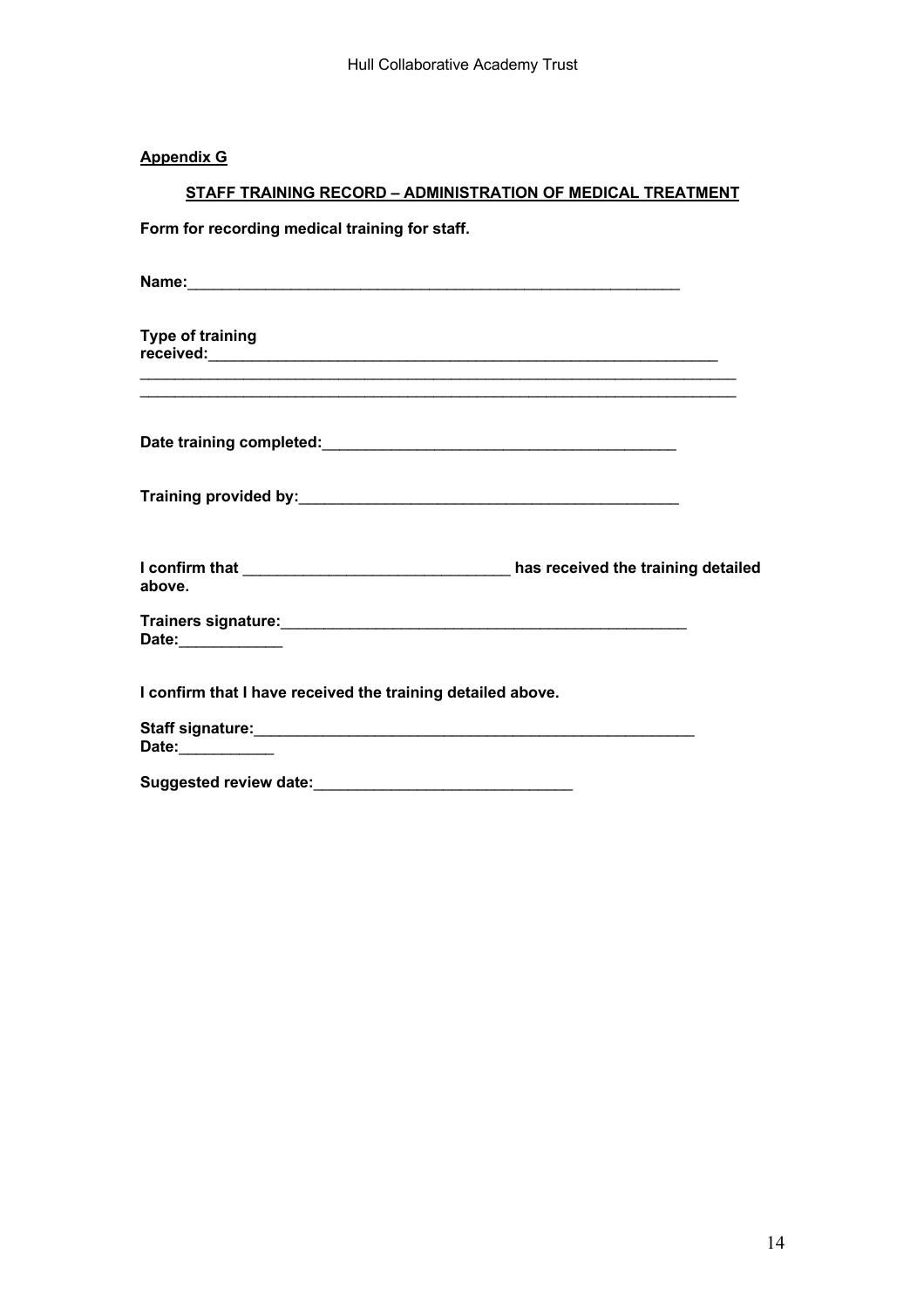#### **Appendix G**

## **STAFF TRAINING RECORD – ADMINISTRATION OF MEDICAL TREATMENT**

**Form for recording medical training for staff.**

| <b>Type of training</b>                                     |  |
|-------------------------------------------------------------|--|
|                                                             |  |
|                                                             |  |
| above.                                                      |  |
| Date: <b>Example 2</b>                                      |  |
| I confirm that I have received the training detailed above. |  |
| Date: Date:                                                 |  |
|                                                             |  |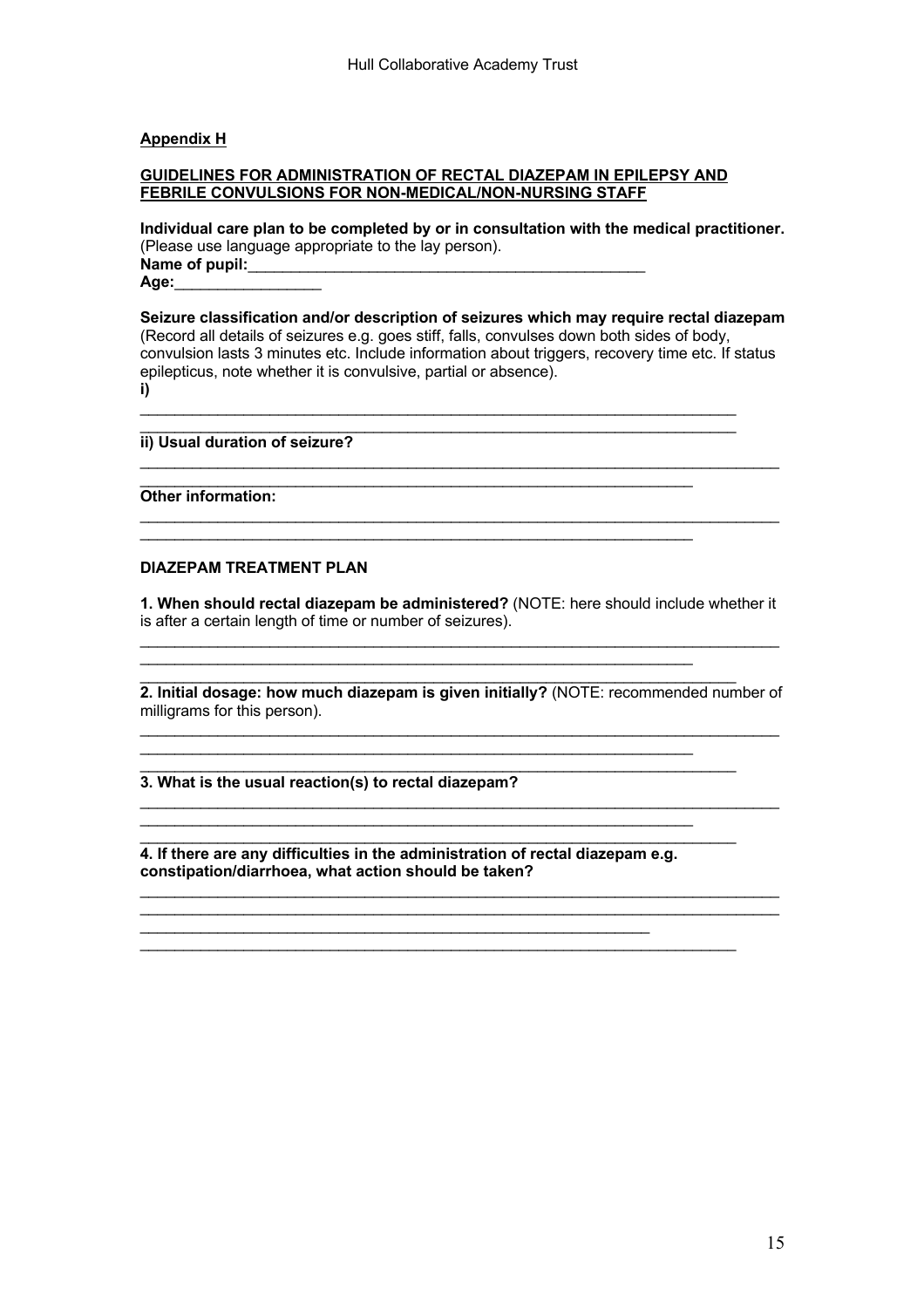#### **Appendix H**

#### **GUIDELINES FOR ADMINISTRATION OF RECTAL DIAZEPAM IN EPILEPSY AND FEBRILE CONVULSIONS FOR NON-MEDICAL/NON-NURSING STAFF**

**Individual care plan to be completed by or in consultation with the medical practitioner.** (Please use language appropriate to the lay person). Name of pupil: **Age:**\_\_\_\_\_\_\_\_\_\_\_\_\_\_\_\_\_

**Seizure classification and/or description of seizures which may require rectal diazepam** (Record all details of seizures e.g. goes stiff, falls, convulses down both sides of body, convulsion lasts 3 minutes etc. Include information about triggers, recovery time etc. If status epilepticus, note whether it is convulsive, partial or absence). **i)**

\_\_\_\_\_\_\_\_\_\_\_\_\_\_\_\_\_\_\_\_\_\_\_\_\_\_\_\_\_\_\_\_\_\_\_\_\_\_\_\_\_\_\_\_\_\_\_\_\_\_\_\_\_\_\_\_\_\_\_\_\_\_\_\_\_\_\_\_\_\_\_\_\_\_

 $\mathcal{L}_\mathcal{L} = \{ \mathcal{L}_\mathcal{L} = \{ \mathcal{L}_\mathcal{L} = \{ \mathcal{L}_\mathcal{L} = \{ \mathcal{L}_\mathcal{L} = \{ \mathcal{L}_\mathcal{L} = \{ \mathcal{L}_\mathcal{L} = \{ \mathcal{L}_\mathcal{L} = \{ \mathcal{L}_\mathcal{L} = \{ \mathcal{L}_\mathcal{L} = \{ \mathcal{L}_\mathcal{L} = \{ \mathcal{L}_\mathcal{L} = \{ \mathcal{L}_\mathcal{L} = \{ \mathcal{L}_\mathcal{L} = \{ \mathcal{L}_\mathcal{$ \_\_\_\_\_\_\_\_\_\_\_\_\_\_\_\_\_\_\_\_\_\_\_\_\_\_\_\_\_\_\_\_\_\_\_\_\_\_\_\_\_\_\_\_\_\_\_\_\_\_\_\_\_\_\_\_\_\_\_\_\_\_\_\_

 $\mathcal{L}_\mathcal{L} = \{ \mathcal{L}_\mathcal{L} = \{ \mathcal{L}_\mathcal{L} = \{ \mathcal{L}_\mathcal{L} = \{ \mathcal{L}_\mathcal{L} = \{ \mathcal{L}_\mathcal{L} = \{ \mathcal{L}_\mathcal{L} = \{ \mathcal{L}_\mathcal{L} = \{ \mathcal{L}_\mathcal{L} = \{ \mathcal{L}_\mathcal{L} = \{ \mathcal{L}_\mathcal{L} = \{ \mathcal{L}_\mathcal{L} = \{ \mathcal{L}_\mathcal{L} = \{ \mathcal{L}_\mathcal{L} = \{ \mathcal{L}_\mathcal{$ 

\_\_\_\_\_\_\_\_\_\_\_\_\_\_\_\_\_\_\_\_\_\_\_\_\_\_\_\_\_\_\_\_\_\_\_\_\_\_\_\_\_\_\_\_\_\_\_\_\_\_\_\_\_\_\_\_\_\_\_\_\_\_\_\_

 $\mathcal{L}_\mathcal{L}$  , and the contribution of the contribution of the contribution of the contribution of the contribution of the contribution of the contribution of the contribution of the contribution of the contribution of \_\_\_\_\_\_\_\_\_\_\_\_\_\_\_\_\_\_\_\_\_\_\_\_\_\_\_\_\_\_\_\_\_\_\_\_\_\_\_\_\_\_\_\_\_\_\_\_\_\_\_\_\_\_\_\_\_\_\_\_\_\_\_\_\_\_\_\_\_

\_\_\_\_\_\_\_\_\_\_\_\_\_\_\_\_\_\_\_\_\_\_\_\_\_\_\_\_\_\_\_\_\_\_\_\_\_\_\_\_\_\_\_\_\_\_\_\_\_\_\_\_\_\_\_\_\_\_\_\_\_\_\_\_

 $\mathcal{L}_\mathcal{L} = \{ \mathcal{L}_\mathcal{L} = \{ \mathcal{L}_\mathcal{L} = \{ \mathcal{L}_\mathcal{L} = \{ \mathcal{L}_\mathcal{L} = \{ \mathcal{L}_\mathcal{L} = \{ \mathcal{L}_\mathcal{L} = \{ \mathcal{L}_\mathcal{L} = \{ \mathcal{L}_\mathcal{L} = \{ \mathcal{L}_\mathcal{L} = \{ \mathcal{L}_\mathcal{L} = \{ \mathcal{L}_\mathcal{L} = \{ \mathcal{L}_\mathcal{L} = \{ \mathcal{L}_\mathcal{L} = \{ \mathcal{L}_\mathcal{$ 

**ii) Usual duration of seizure?**

**Other information:**

#### **DIAZEPAM TREATMENT PLAN**

**1. When should rectal diazepam be administered?** (NOTE: here should include whether it is after a certain length of time or number of seizures). \_\_\_\_\_\_\_\_\_\_\_\_\_\_\_\_\_\_\_\_\_\_\_\_\_\_\_\_\_\_\_\_\_\_\_\_\_\_\_\_\_\_\_\_\_\_\_\_\_\_\_\_\_\_\_\_\_\_\_\_\_\_\_\_\_\_\_\_\_\_\_\_\_\_

**2. Initial dosage: how much diazepam is given initially?** (NOTE: recommended number of milligrams for this person).  $\mathcal{L}_\mathcal{L} = \{ \mathcal{L}_\mathcal{L} = \{ \mathcal{L}_\mathcal{L} = \{ \mathcal{L}_\mathcal{L} = \{ \mathcal{L}_\mathcal{L} = \{ \mathcal{L}_\mathcal{L} = \{ \mathcal{L}_\mathcal{L} = \{ \mathcal{L}_\mathcal{L} = \{ \mathcal{L}_\mathcal{L} = \{ \mathcal{L}_\mathcal{L} = \{ \mathcal{L}_\mathcal{L} = \{ \mathcal{L}_\mathcal{L} = \{ \mathcal{L}_\mathcal{L} = \{ \mathcal{L}_\mathcal{L} = \{ \mathcal{L}_\mathcal{$ 

 $\mathcal{L}_\mathcal{L} = \{ \mathcal{L}_\mathcal{L} = \{ \mathcal{L}_\mathcal{L} = \{ \mathcal{L}_\mathcal{L} = \{ \mathcal{L}_\mathcal{L} = \{ \mathcal{L}_\mathcal{L} = \{ \mathcal{L}_\mathcal{L} = \{ \mathcal{L}_\mathcal{L} = \{ \mathcal{L}_\mathcal{L} = \{ \mathcal{L}_\mathcal{L} = \{ \mathcal{L}_\mathcal{L} = \{ \mathcal{L}_\mathcal{L} = \{ \mathcal{L}_\mathcal{L} = \{ \mathcal{L}_\mathcal{L} = \{ \mathcal{L}_\mathcal{$ 

 $\mathcal{L}_\mathcal{L} = \{ \mathcal{L}_\mathcal{L} = \{ \mathcal{L}_\mathcal{L} = \{ \mathcal{L}_\mathcal{L} = \{ \mathcal{L}_\mathcal{L} = \{ \mathcal{L}_\mathcal{L} = \{ \mathcal{L}_\mathcal{L} = \{ \mathcal{L}_\mathcal{L} = \{ \mathcal{L}_\mathcal{L} = \{ \mathcal{L}_\mathcal{L} = \{ \mathcal{L}_\mathcal{L} = \{ \mathcal{L}_\mathcal{L} = \{ \mathcal{L}_\mathcal{L} = \{ \mathcal{L}_\mathcal{L} = \{ \mathcal{L}_\mathcal{$ 

 $\mathcal{L}_\mathcal{L} = \{ \mathcal{L}_\mathcal{L} = \{ \mathcal{L}_\mathcal{L} = \{ \mathcal{L}_\mathcal{L} = \{ \mathcal{L}_\mathcal{L} = \{ \mathcal{L}_\mathcal{L} = \{ \mathcal{L}_\mathcal{L} = \{ \mathcal{L}_\mathcal{L} = \{ \mathcal{L}_\mathcal{L} = \{ \mathcal{L}_\mathcal{L} = \{ \mathcal{L}_\mathcal{L} = \{ \mathcal{L}_\mathcal{L} = \{ \mathcal{L}_\mathcal{L} = \{ \mathcal{L}_\mathcal{L} = \{ \mathcal{L}_\mathcal{$ 

\_\_\_\_\_\_\_\_\_\_\_\_\_\_\_\_\_\_\_\_\_\_\_\_\_\_\_\_\_\_\_\_\_\_\_\_\_\_\_\_\_\_\_\_\_\_\_\_\_\_\_\_\_\_\_\_\_\_\_\_\_\_\_\_\_\_\_\_\_ **3. What is the usual reaction(s) to rectal diazepam?**

**4. If there are any difficulties in the administration of rectal diazepam e.g. constipation/diarrhoea, what action should be taken?**

\_\_\_\_\_\_\_\_\_\_\_\_\_\_\_\_\_\_\_\_\_\_\_\_\_\_\_\_\_\_\_\_\_\_\_\_\_\_\_\_\_\_\_\_\_\_\_\_\_\_\_\_\_\_\_\_\_\_\_\_\_\_\_\_\_\_\_\_\_\_\_\_\_\_ \_\_\_\_\_\_\_\_\_\_\_\_\_\_\_\_\_\_\_\_\_\_\_\_\_\_\_\_\_\_\_\_\_\_\_\_\_\_\_\_\_\_\_\_\_\_\_\_\_\_\_\_\_\_\_\_\_\_\_

\_\_\_\_\_\_\_\_\_\_\_\_\_\_\_\_\_\_\_\_\_\_\_\_\_\_\_\_\_\_\_\_\_\_\_\_\_\_\_\_\_\_\_\_\_\_\_\_\_\_\_\_\_\_\_\_\_\_\_\_\_\_\_\_ \_\_\_\_\_\_\_\_\_\_\_\_\_\_\_\_\_\_\_\_\_\_\_\_\_\_\_\_\_\_\_\_\_\_\_\_\_\_\_\_\_\_\_\_\_\_\_\_\_\_\_\_\_\_\_\_\_\_\_\_\_\_\_\_\_\_\_\_\_